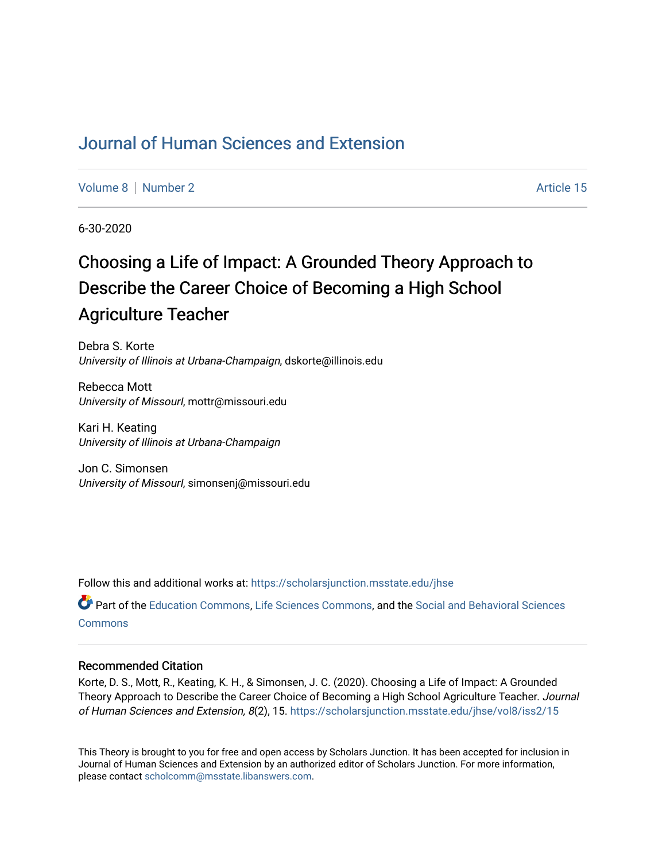# [Journal of Human Sciences and Extension](https://scholarsjunction.msstate.edu/jhse)

[Volume 8](https://scholarsjunction.msstate.edu/jhse/vol8) [Number 2](https://scholarsjunction.msstate.edu/jhse/vol8/iss2) Article 15

6-30-2020

# Choosing a Life of Impact: A Grounded Theory Approach to Describe the Career Choice of Becoming a High School Agriculture Teacher

Debra S. Korte University of Illinois at Urbana-Champaign, dskorte@illinois.edu

Rebecca Mott University of MissourI, mottr@missouri.edu

Kari H. Keating University of Illinois at Urbana-Champaign

Jon C. Simonsen University of MissourI, simonsenj@missouri.edu

Follow this and additional works at: [https://scholarsjunction.msstate.edu/jhse](https://scholarsjunction.msstate.edu/jhse?utm_source=scholarsjunction.msstate.edu%2Fjhse%2Fvol8%2Fiss2%2F15&utm_medium=PDF&utm_campaign=PDFCoverPages)

Part of the [Education Commons](http://network.bepress.com/hgg/discipline/784?utm_source=scholarsjunction.msstate.edu%2Fjhse%2Fvol8%2Fiss2%2F15&utm_medium=PDF&utm_campaign=PDFCoverPages), [Life Sciences Commons](http://network.bepress.com/hgg/discipline/1016?utm_source=scholarsjunction.msstate.edu%2Fjhse%2Fvol8%2Fiss2%2F15&utm_medium=PDF&utm_campaign=PDFCoverPages), and the [Social and Behavioral Sciences](http://network.bepress.com/hgg/discipline/316?utm_source=scholarsjunction.msstate.edu%2Fjhse%2Fvol8%2Fiss2%2F15&utm_medium=PDF&utm_campaign=PDFCoverPages)  **[Commons](http://network.bepress.com/hgg/discipline/316?utm_source=scholarsjunction.msstate.edu%2Fjhse%2Fvol8%2Fiss2%2F15&utm_medium=PDF&utm_campaign=PDFCoverPages)** 

#### Recommended Citation

Korte, D. S., Mott, R., Keating, K. H., & Simonsen, J. C. (2020). Choosing a Life of Impact: A Grounded Theory Approach to Describe the Career Choice of Becoming a High School Agriculture Teacher. Journal of Human Sciences and Extension, 8(2), 15. [https://scholarsjunction.msstate.edu/jhse/vol8/iss2/15](https://scholarsjunction.msstate.edu/jhse/vol8/iss2/15?utm_source=scholarsjunction.msstate.edu%2Fjhse%2Fvol8%2Fiss2%2F15&utm_medium=PDF&utm_campaign=PDFCoverPages) 

This Theory is brought to you for free and open access by Scholars Junction. It has been accepted for inclusion in Journal of Human Sciences and Extension by an authorized editor of Scholars Junction. For more information, please contact [scholcomm@msstate.libanswers.com.](mailto:scholcomm@msstate.libanswers.com)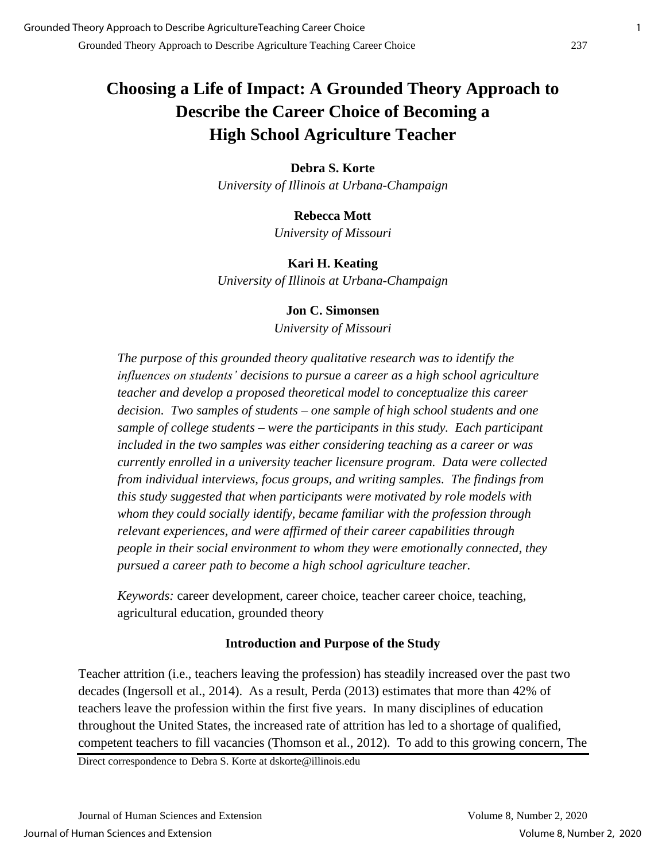# **Choosing a Life of Impact: A Grounded Theory Approach to Describe the Career Choice of Becoming a High School Agriculture Teacher**

#### **Debra S. Korte**

*University of Illinois at Urbana-Champaign*

#### **Rebecca Mott**

*University of Missouri* 

### **Kari H. Keating**

*University of Illinois at Urbana-Champaign*

#### **Jon C. Simonsen**

*University of Missouri*

*The purpose of this grounded theory qualitative research was to identify the influences on students' decisions to pursue a career as a high school agriculture teacher and develop a proposed theoretical model to conceptualize this career decision. Two samples of students – one sample of high school students and one sample of college students – were the participants in this study. Each participant included in the two samples was either considering teaching as a career or was currently enrolled in a university teacher licensure program. Data were collected from individual interviews, focus groups, and writing samples. The findings from this study suggested that when participants were motivated by role models with whom they could socially identify, became familiar with the profession through relevant experiences, and were affirmed of their career capabilities through people in their social environment to whom they were emotionally connected, they pursued a career path to become a high school agriculture teacher.*

*Keywords:* career development, career choice, teacher career choice, teaching, agricultural education, grounded theory

### **Introduction and Purpose of the Study**

Teacher attrition (i.e., teachers leaving the profession) has steadily increased over the past two decades (Ingersoll et al., 2014). As a result, Perda (2013) estimates that more than 42% of teachers leave the profession within the first five years. In many disciplines of education throughout the United States, the increased rate of attrition has led to a shortage of qualified, competent teachers to fill vacancies (Thomson et al., 2012). To add to this growing concern, The

Direct correspondence to Debra S. Korte at dskorte@illinois.edu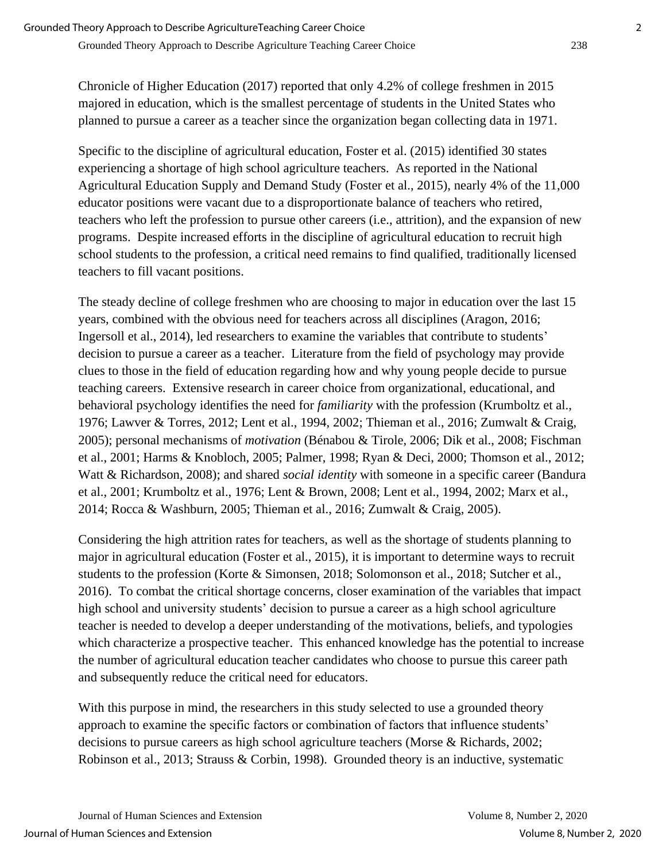Chronicle of Higher Education (2017) reported that only 4.2% of college freshmen in 2015 majored in education, which is the smallest percentage of students in the United States who planned to pursue a career as a teacher since the organization began collecting data in 1971.

Specific to the discipline of agricultural education, Foster et al. (2015) identified 30 states experiencing a shortage of high school agriculture teachers. As reported in the National Agricultural Education Supply and Demand Study (Foster et al., 2015), nearly 4% of the 11,000 educator positions were vacant due to a disproportionate balance of teachers who retired, teachers who left the profession to pursue other careers (i.e., attrition), and the expansion of new programs. Despite increased efforts in the discipline of agricultural education to recruit high school students to the profession, a critical need remains to find qualified, traditionally licensed teachers to fill vacant positions.

The steady decline of college freshmen who are choosing to major in education over the last 15 years, combined with the obvious need for teachers across all disciplines (Aragon, 2016; Ingersoll et al., 2014), led researchers to examine the variables that contribute to students' decision to pursue a career as a teacher. Literature from the field of psychology may provide clues to those in the field of education regarding how and why young people decide to pursue teaching careers. Extensive research in career choice from organizational, educational, and behavioral psychology identifies the need for *familiarity* with the profession (Krumboltz et al., 1976; Lawver & Torres, 2012; Lent et al., 1994, 2002; Thieman et al., 2016; Zumwalt & Craig, 2005); personal mechanisms of *motivation* (Bénabou & Tirole, 2006; Dik et al., 2008; Fischman et al., 2001; Harms & Knobloch, 2005; Palmer, 1998; Ryan & Deci, 2000; Thomson et al., 2012; Watt & Richardson, 2008); and shared *social identity* with someone in a specific career (Bandura et al., 2001; Krumboltz et al., 1976; Lent & Brown, 2008; Lent et al., 1994, 2002; Marx et al., 2014; Rocca & Washburn, 2005; Thieman et al., 2016; Zumwalt & Craig, 2005).

Considering the high attrition rates for teachers, as well as the shortage of students planning to major in agricultural education (Foster et al., 2015), it is important to determine ways to recruit students to the profession (Korte & Simonsen, 2018; Solomonson et al., 2018; Sutcher et al., 2016). To combat the critical shortage concerns, closer examination of the variables that impact high school and university students' decision to pursue a career as a high school agriculture teacher is needed to develop a deeper understanding of the motivations, beliefs, and typologies which characterize a prospective teacher. This enhanced knowledge has the potential to increase the number of agricultural education teacher candidates who choose to pursue this career path and subsequently reduce the critical need for educators.

With this purpose in mind, the researchers in this study selected to use a grounded theory approach to examine the specific factors or combination of factors that influence students' decisions to pursue careers as high school agriculture teachers (Morse & Richards, 2002; Robinson et al., 2013; Strauss & Corbin, 1998). Grounded theory is an inductive, systematic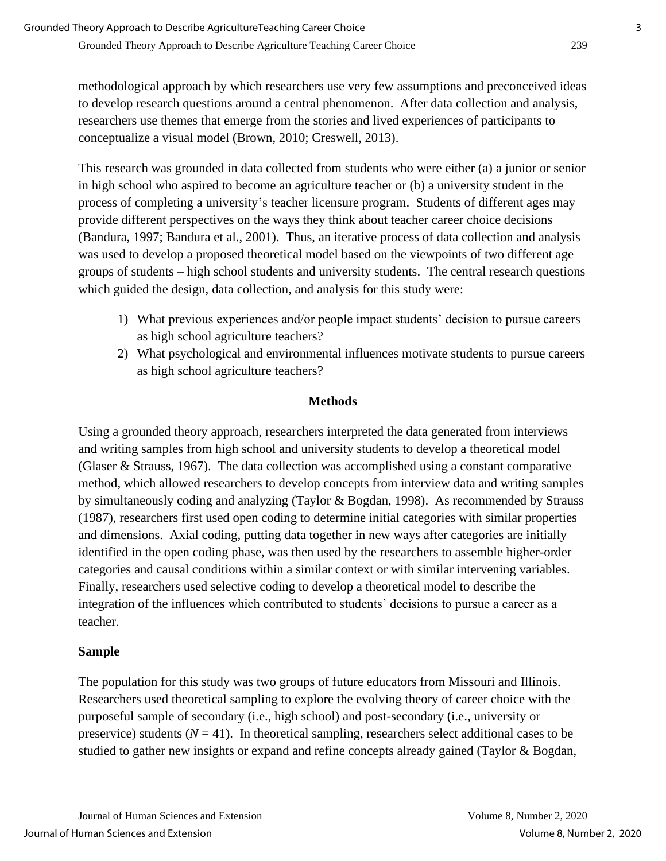methodological approach by which researchers use very few assumptions and preconceived ideas to develop research questions around a central phenomenon. After data collection and analysis, researchers use themes that emerge from the stories and lived experiences of participants to conceptualize a visual model (Brown, 2010; Creswell, 2013).

This research was grounded in data collected from students who were either (a) a junior or senior in high school who aspired to become an agriculture teacher or (b) a university student in the process of completing a university's teacher licensure program. Students of different ages may provide different perspectives on the ways they think about teacher career choice decisions (Bandura, 1997; Bandura et al., 2001). Thus, an iterative process of data collection and analysis was used to develop a proposed theoretical model based on the viewpoints of two different age groups of students – high school students and university students. The central research questions which guided the design, data collection, and analysis for this study were:

- 1) What previous experiences and/or people impact students' decision to pursue careers as high school agriculture teachers?
- 2) What psychological and environmental influences motivate students to pursue careers as high school agriculture teachers?

# **Methods**

Using a grounded theory approach, researchers interpreted the data generated from interviews and writing samples from high school and university students to develop a theoretical model (Glaser & Strauss, 1967). The data collection was accomplished using a constant comparative method, which allowed researchers to develop concepts from interview data and writing samples by simultaneously coding and analyzing (Taylor & Bogdan, 1998). As recommended by Strauss (1987), researchers first used open coding to determine initial categories with similar properties and dimensions. Axial coding, putting data together in new ways after categories are initially identified in the open coding phase, was then used by the researchers to assemble higher-order categories and causal conditions within a similar context or with similar intervening variables. Finally, researchers used selective coding to develop a theoretical model to describe the integration of the influences which contributed to students' decisions to pursue a career as a teacher.

### **Sample**

The population for this study was two groups of future educators from Missouri and Illinois. Researchers used theoretical sampling to explore the evolving theory of career choice with the purposeful sample of secondary (i.e., high school) and post-secondary (i.e., university or preservice) students  $(N = 41)$ . In theoretical sampling, researchers select additional cases to be studied to gather new insights or expand and refine concepts already gained (Taylor & Bogdan,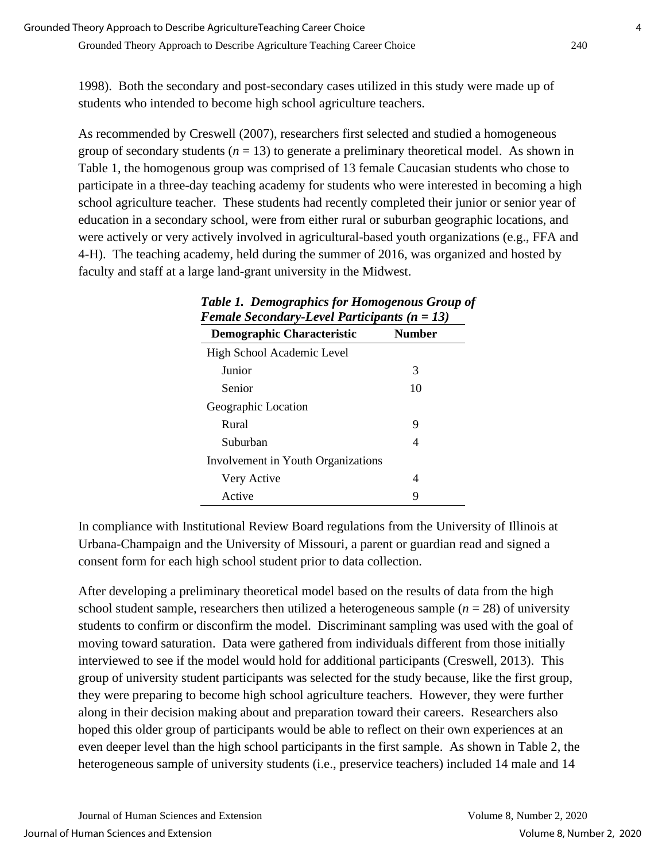Grounded Theory Approach to Describe Agriculture Teaching Career Choice 240

1998). Both the secondary and post-secondary cases utilized in this study were made up of students who intended to become high school agriculture teachers.

As recommended by Creswell (2007), researchers first selected and studied a homogeneous group of secondary students  $(n = 13)$  to generate a preliminary theoretical model. As shown in Table 1, the homogenous group was comprised of 13 female Caucasian students who chose to participate in a three-day teaching academy for students who were interested in becoming a high school agriculture teacher. These students had recently completed their junior or senior year of education in a secondary school, were from either rural or suburban geographic locations, and were actively or very actively involved in agricultural-based youth organizations (e.g., FFA and 4-H). The teaching academy, held during the summer of 2016, was organized and hosted by faculty and staff at a large land-grant university in the Midwest.

| Female Secondary-Level Participants ( $n = 13$ ) |               |
|--------------------------------------------------|---------------|
| Demographic Characteristic                       | <b>Number</b> |
| High School Academic Level                       |               |
| Junior                                           | 3             |
| Senior                                           | 10            |
| Geographic Location                              |               |
| Rural                                            | 9             |
| Suburban                                         | 4             |
| Involvement in Youth Organizations               |               |
| Very Active                                      | 4             |
| Active                                           | 9             |

| Table 1. Demographics for Homogenous Group of  |  |
|------------------------------------------------|--|
| Female Secondary-Level Participants $(n = 13)$ |  |

In compliance with Institutional Review Board regulations from the University of Illinois at Urbana-Champaign and the University of Missouri, a parent or guardian read and signed a consent form for each high school student prior to data collection.

After developing a preliminary theoretical model based on the results of data from the high school student sample, researchers then utilized a heterogeneous sample  $(n = 28)$  of university students to confirm or disconfirm the model. Discriminant sampling was used with the goal of moving toward saturation. Data were gathered from individuals different from those initially interviewed to see if the model would hold for additional participants (Creswell, 2013). This group of university student participants was selected for the study because, like the first group, they were preparing to become high school agriculture teachers. However, they were further along in their decision making about and preparation toward their careers. Researchers also hoped this older group of participants would be able to reflect on their own experiences at an even deeper level than the high school participants in the first sample. As shown in Table 2, the heterogeneous sample of university students (i.e., preservice teachers) included 14 male and 14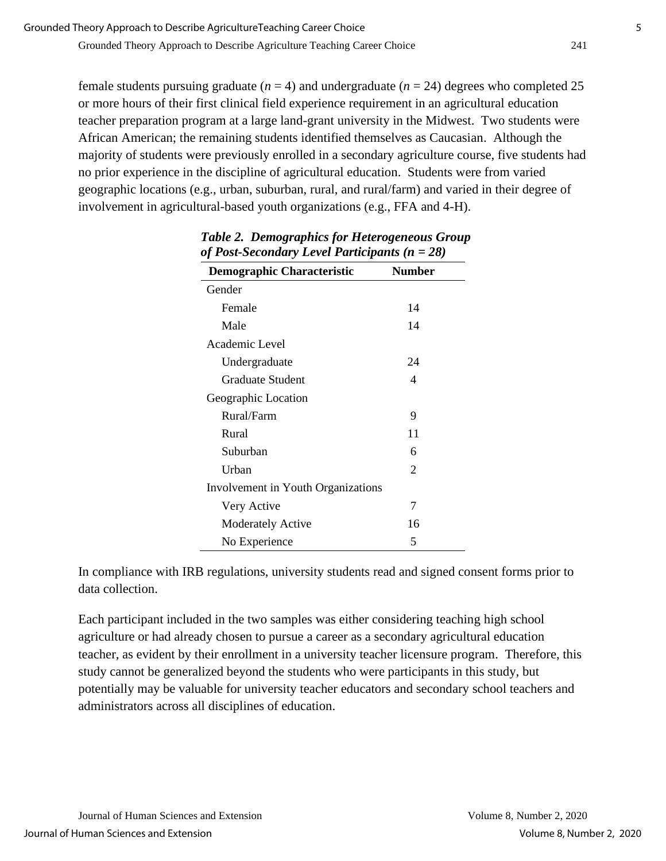Grounded Theory Approach to Describe Agriculture Teaching Career Choice 241

female students pursuing graduate  $(n = 4)$  and undergraduate  $(n = 24)$  degrees who completed 25 or more hours of their first clinical field experience requirement in an agricultural education teacher preparation program at a large land-grant university in the Midwest. Two students were African American; the remaining students identified themselves as Caucasian. Although the majority of students were previously enrolled in a secondary agriculture course, five students had no prior experience in the discipline of agricultural education. Students were from varied geographic locations (e.g., urban, suburban, rural, and rural/farm) and varied in their degree of involvement in agricultural-based youth organizations (e.g., FFA and 4-H).

| <b>Demographic Characteristic</b>  | <b>Number</b>  |
|------------------------------------|----------------|
| Gender                             |                |
| Female                             | 14             |
| Male                               | 14             |
| Academic Level                     |                |
| Undergraduate                      | 24             |
| Graduate Student                   | 4              |
| Geographic Location                |                |
| Rural/Farm                         | 9              |
| Rural                              | 11             |
| Suburban                           | 6              |
| Urban                              | $\overline{2}$ |
| Involvement in Youth Organizations |                |
| Very Active                        | 7              |
| Moderately Active                  | 16             |
| No Experience                      | 5              |

| <b>Table 2. Demographics for Heterogeneous Group</b> |
|------------------------------------------------------|
| of Post-Secondary Level Participants ( $n = 28$ )    |

In compliance with IRB regulations, university students read and signed consent forms prior to data collection.

Each participant included in the two samples was either considering teaching high school agriculture or had already chosen to pursue a career as a secondary agricultural education teacher, as evident by their enrollment in a university teacher licensure program. Therefore, this study cannot be generalized beyond the students who were participants in this study, but potentially may be valuable for university teacher educators and secondary school teachers and administrators across all disciplines of education.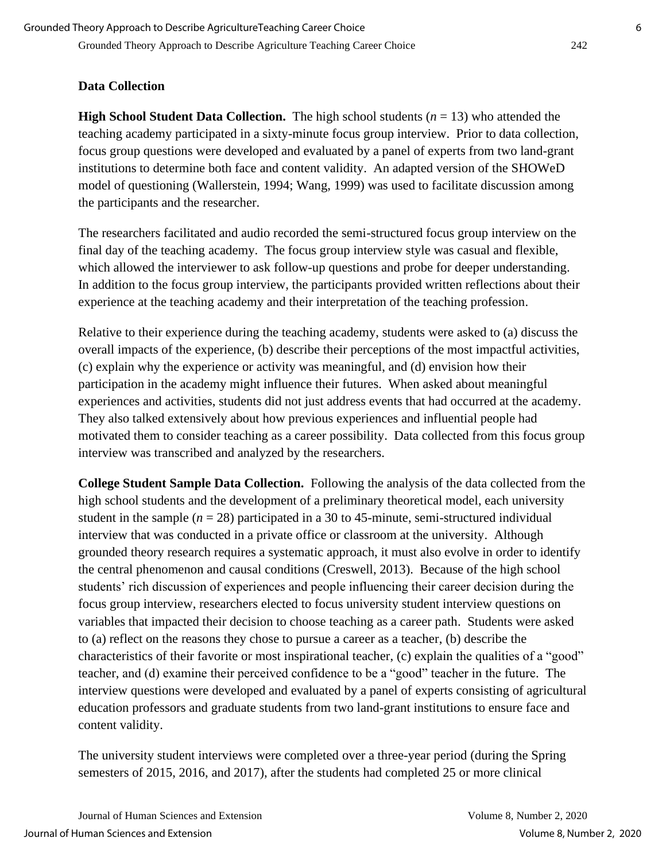# **Data Collection**

**High School Student Data Collection.** The high school students  $(n = 13)$  who attended the teaching academy participated in a sixty-minute focus group interview. Prior to data collection, focus group questions were developed and evaluated by a panel of experts from two land-grant institutions to determine both face and content validity. An adapted version of the SHOWeD model of questioning (Wallerstein, 1994; Wang, 1999) was used to facilitate discussion among the participants and the researcher.

The researchers facilitated and audio recorded the semi-structured focus group interview on the final day of the teaching academy. The focus group interview style was casual and flexible, which allowed the interviewer to ask follow-up questions and probe for deeper understanding. In addition to the focus group interview, the participants provided written reflections about their experience at the teaching academy and their interpretation of the teaching profession.

Relative to their experience during the teaching academy, students were asked to (a) discuss the overall impacts of the experience, (b) describe their perceptions of the most impactful activities, (c) explain why the experience or activity was meaningful, and (d) envision how their participation in the academy might influence their futures. When asked about meaningful experiences and activities, students did not just address events that had occurred at the academy. They also talked extensively about how previous experiences and influential people had motivated them to consider teaching as a career possibility. Data collected from this focus group interview was transcribed and analyzed by the researchers.

**College Student Sample Data Collection.** Following the analysis of the data collected from the high school students and the development of a preliminary theoretical model, each university student in the sample  $(n = 28)$  participated in a 30 to 45-minute, semi-structured individual interview that was conducted in a private office or classroom at the university. Although grounded theory research requires a systematic approach, it must also evolve in order to identify the central phenomenon and causal conditions (Creswell, 2013). Because of the high school students' rich discussion of experiences and people influencing their career decision during the focus group interview, researchers elected to focus university student interview questions on variables that impacted their decision to choose teaching as a career path. Students were asked to (a) reflect on the reasons they chose to pursue a career as a teacher, (b) describe the characteristics of their favorite or most inspirational teacher, (c) explain the qualities of a "good" teacher, and (d) examine their perceived confidence to be a "good" teacher in the future. The interview questions were developed and evaluated by a panel of experts consisting of agricultural education professors and graduate students from two land-grant institutions to ensure face and content validity.

The university student interviews were completed over a three-year period (during the Spring semesters of 2015, 2016, and 2017), after the students had completed 25 or more clinical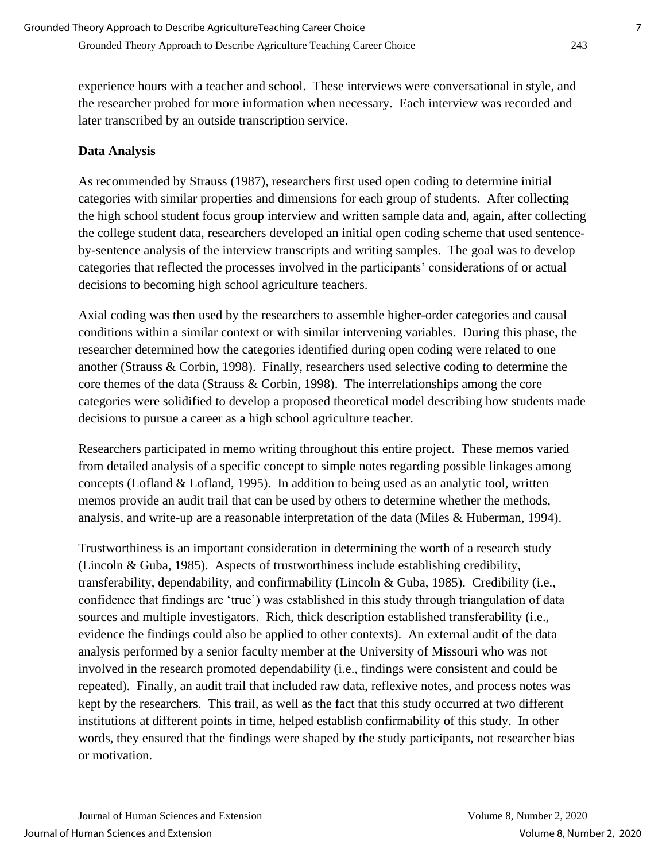experience hours with a teacher and school. These interviews were conversational in style, and the researcher probed for more information when necessary. Each interview was recorded and later transcribed by an outside transcription service.

# **Data Analysis**

As recommended by Strauss (1987), researchers first used open coding to determine initial categories with similar properties and dimensions for each group of students. After collecting the high school student focus group interview and written sample data and, again, after collecting the college student data, researchers developed an initial open coding scheme that used sentenceby-sentence analysis of the interview transcripts and writing samples. The goal was to develop categories that reflected the processes involved in the participants' considerations of or actual decisions to becoming high school agriculture teachers.

Axial coding was then used by the researchers to assemble higher-order categories and causal conditions within a similar context or with similar intervening variables. During this phase, the researcher determined how the categories identified during open coding were related to one another (Strauss & Corbin, 1998). Finally, researchers used selective coding to determine the core themes of the data (Strauss & Corbin, 1998). The interrelationships among the core categories were solidified to develop a proposed theoretical model describing how students made decisions to pursue a career as a high school agriculture teacher.

Researchers participated in memo writing throughout this entire project. These memos varied from detailed analysis of a specific concept to simple notes regarding possible linkages among concepts (Lofland & Lofland, 1995). In addition to being used as an analytic tool, written memos provide an audit trail that can be used by others to determine whether the methods, analysis, and write-up are a reasonable interpretation of the data (Miles & Huberman, 1994).

Trustworthiness is an important consideration in determining the worth of a research study (Lincoln & Guba, 1985). Aspects of trustworthiness include establishing credibility, transferability, dependability, and confirmability (Lincoln & Guba, 1985). Credibility (i.e., confidence that findings are 'true') was established in this study through triangulation of data sources and multiple investigators. Rich, thick description established transferability (i.e., evidence the findings could also be applied to other contexts). An external audit of the data analysis performed by a senior faculty member at the University of Missouri who was not involved in the research promoted dependability (i.e., findings were consistent and could be repeated). Finally, an audit trail that included raw data, reflexive notes, and process notes was kept by the researchers. This trail, as well as the fact that this study occurred at two different institutions at different points in time, helped establish confirmability of this study. In other words, they ensured that the findings were shaped by the study participants, not researcher bias or motivation.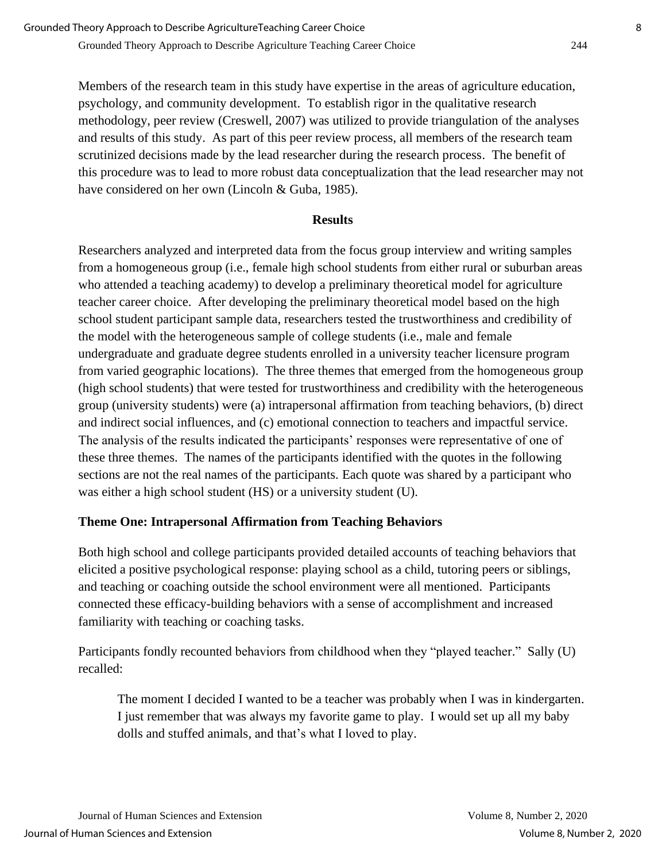Members of the research team in this study have expertise in the areas of agriculture education, psychology, and community development. To establish rigor in the qualitative research methodology, peer review (Creswell, 2007) was utilized to provide triangulation of the analyses and results of this study. As part of this peer review process, all members of the research team scrutinized decisions made by the lead researcher during the research process. The benefit of this procedure was to lead to more robust data conceptualization that the lead researcher may not have considered on her own (Lincoln & Guba, 1985).

#### **Results**

Researchers analyzed and interpreted data from the focus group interview and writing samples from a homogeneous group (i.e., female high school students from either rural or suburban areas who attended a teaching academy) to develop a preliminary theoretical model for agriculture teacher career choice. After developing the preliminary theoretical model based on the high school student participant sample data, researchers tested the trustworthiness and credibility of the model with the heterogeneous sample of college students (i.e., male and female undergraduate and graduate degree students enrolled in a university teacher licensure program from varied geographic locations). The three themes that emerged from the homogeneous group (high school students) that were tested for trustworthiness and credibility with the heterogeneous group (university students) were (a) intrapersonal affirmation from teaching behaviors, (b) direct and indirect social influences, and (c) emotional connection to teachers and impactful service. The analysis of the results indicated the participants' responses were representative of one of these three themes. The names of the participants identified with the quotes in the following sections are not the real names of the participants. Each quote was shared by a participant who was either a high school student (HS) or a university student (U).

# **Theme One: Intrapersonal Affirmation from Teaching Behaviors**

Both high school and college participants provided detailed accounts of teaching behaviors that elicited a positive psychological response: playing school as a child, tutoring peers or siblings, and teaching or coaching outside the school environment were all mentioned. Participants connected these efficacy-building behaviors with a sense of accomplishment and increased familiarity with teaching or coaching tasks.

Participants fondly recounted behaviors from childhood when they "played teacher." Sally (U) recalled:

The moment I decided I wanted to be a teacher was probably when I was in kindergarten. I just remember that was always my favorite game to play. I would set up all my baby dolls and stuffed animals, and that's what I loved to play.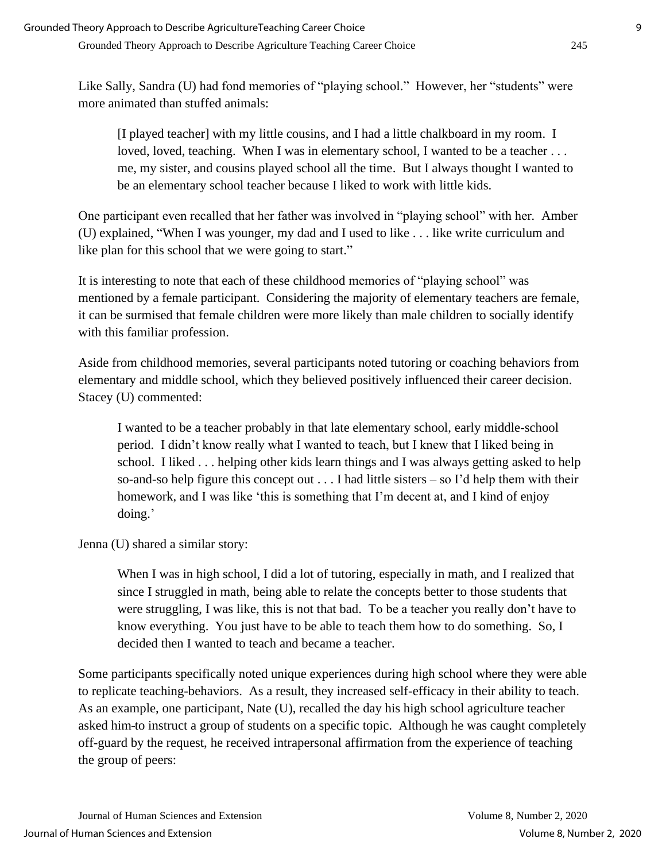Like Sally, Sandra (U) had fond memories of "playing school." However, her "students" were more animated than stuffed animals:

[I played teacher] with my little cousins, and I had a little chalkboard in my room. I loved, loved, teaching. When I was in elementary school, I wanted to be a teacher ... me, my sister, and cousins played school all the time. But I always thought I wanted to be an elementary school teacher because I liked to work with little kids.

One participant even recalled that her father was involved in "playing school" with her*.* Amber (U) explained, "When I was younger, my dad and I used to like . . . like write curriculum and like plan for this school that we were going to start."

It is interesting to note that each of these childhood memories of "playing school" was mentioned by a female participant. Considering the majority of elementary teachers are female, it can be surmised that female children were more likely than male children to socially identify with this familiar profession.

Aside from childhood memories, several participants noted tutoring or coaching behaviors from elementary and middle school, which they believed positively influenced their career decision. Stacey (U) commented:

I wanted to be a teacher probably in that late elementary school, early middle-school period. I didn't know really what I wanted to teach, but I knew that I liked being in school. I liked . . . helping other kids learn things and I was always getting asked to help so-and-so help figure this concept out . . . I had little sisters – so I'd help them with their homework, and I was like 'this is something that I'm decent at, and I kind of enjoy doing.'

Jenna (U) shared a similar story:

When I was in high school, I did a lot of tutoring, especially in math, and I realized that since I struggled in math, being able to relate the concepts better to those students that were struggling, I was like, this is not that bad. To be a teacher you really don't have to know everything. You just have to be able to teach them how to do something. So, I decided then I wanted to teach and became a teacher.

Some participants specifically noted unique experiences during high school where they were able to replicate teaching-behaviors. As a result, they increased self-efficacy in their ability to teach. As an example, one participant, Nate (U), recalled the day his high school agriculture teacher asked him to instruct a group of students on a specific topic. Although he was caught completely off-guard by the request, he received intrapersonal affirmation from the experience of teaching the group of peers: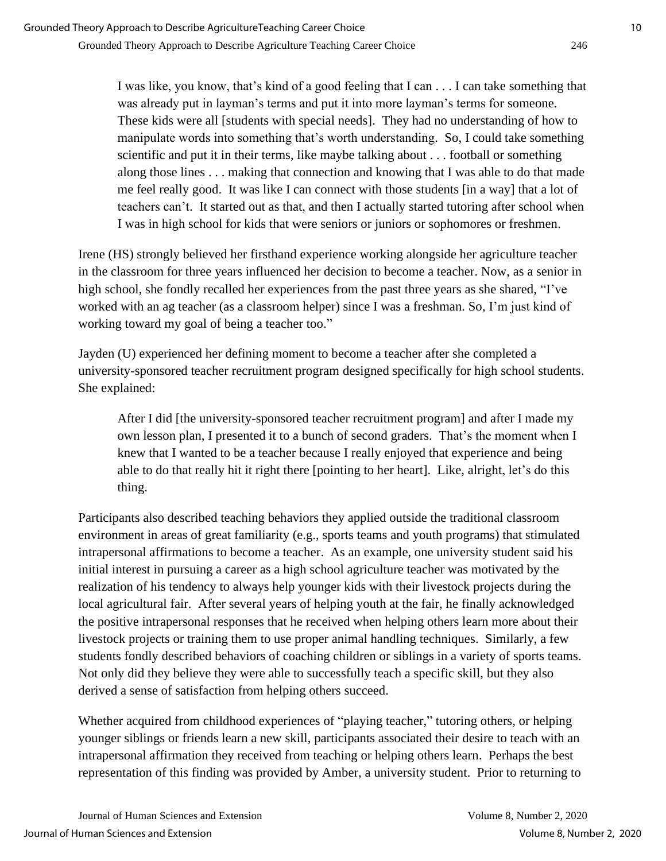I was like, you know, that's kind of a good feeling that I can . . . I can take something that was already put in layman's terms and put it into more layman's terms for someone. These kids were all [students with special needs]. They had no understanding of how to manipulate words into something that's worth understanding. So, I could take something scientific and put it in their terms, like maybe talking about . . . football or something along those lines . . . making that connection and knowing that I was able to do that made me feel really good. It was like I can connect with those students [in a way] that a lot of teachers can't. It started out as that, and then I actually started tutoring after school when I was in high school for kids that were seniors or juniors or sophomores or freshmen.

Irene (HS) strongly believed her firsthand experience working alongside her agriculture teacher in the classroom for three years influenced her decision to become a teacher. Now, as a senior in high school, she fondly recalled her experiences from the past three years as she shared, "I've worked with an ag teacher (as a classroom helper) since I was a freshman. So, I'm just kind of working toward my goal of being a teacher too."

Jayden (U) experienced her defining moment to become a teacher after she completed a university-sponsored teacher recruitment program designed specifically for high school students. She explained:

After I did [the university-sponsored teacher recruitment program] and after I made my own lesson plan, I presented it to a bunch of second graders. That's the moment when I knew that I wanted to be a teacher because I really enjoyed that experience and being able to do that really hit it right there [pointing to her heart]. Like, alright, let's do this thing.

Participants also described teaching behaviors they applied outside the traditional classroom environment in areas of great familiarity (e.g., sports teams and youth programs) that stimulated intrapersonal affirmations to become a teacher. As an example, one university student said his initial interest in pursuing a career as a high school agriculture teacher was motivated by the realization of his tendency to always help younger kids with their livestock projects during the local agricultural fair. After several years of helping youth at the fair, he finally acknowledged the positive intrapersonal responses that he received when helping others learn more about their livestock projects or training them to use proper animal handling techniques. Similarly, a few students fondly described behaviors of coaching children or siblings in a variety of sports teams. Not only did they believe they were able to successfully teach a specific skill, but they also derived a sense of satisfaction from helping others succeed.

Whether acquired from childhood experiences of "playing teacher," tutoring others, or helping younger siblings or friends learn a new skill, participants associated their desire to teach with an intrapersonal affirmation they received from teaching or helping others learn. Perhaps the best representation of this finding was provided by Amber, a university student. Prior to returning to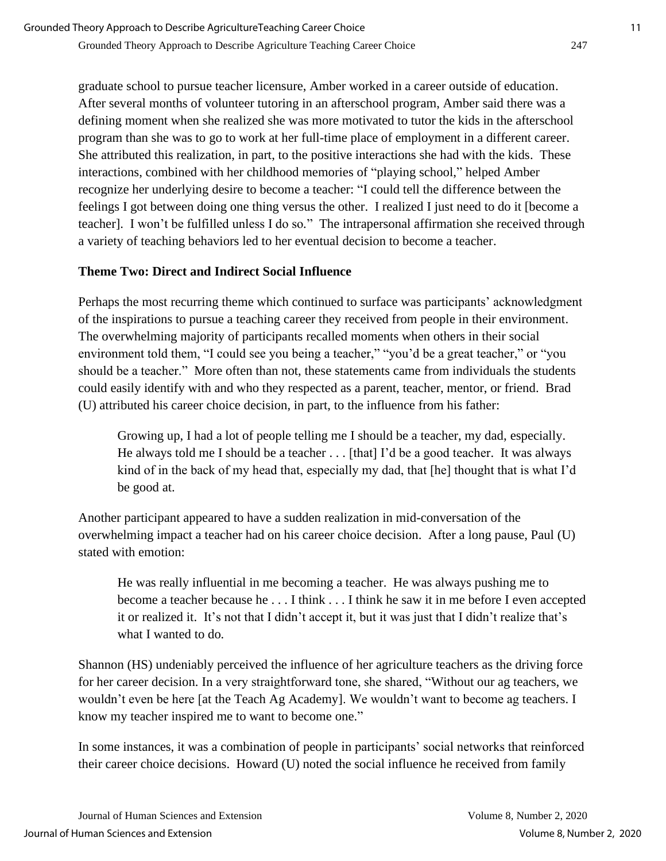graduate school to pursue teacher licensure, Amber worked in a career outside of education. After several months of volunteer tutoring in an afterschool program, Amber said there was a defining moment when she realized she was more motivated to tutor the kids in the afterschool program than she was to go to work at her full-time place of employment in a different career. She attributed this realization, in part, to the positive interactions she had with the kids. These interactions, combined with her childhood memories of "playing school," helped Amber recognize her underlying desire to become a teacher: "I could tell the difference between the feelings I got between doing one thing versus the other. I realized I just need to do it [become a teacher]. I won't be fulfilled unless I do so*.*" The intrapersonal affirmation she received through a variety of teaching behaviors led to her eventual decision to become a teacher.

# **Theme Two: Direct and Indirect Social Influence**

Perhaps the most recurring theme which continued to surface was participants' acknowledgment of the inspirations to pursue a teaching career they received from people in their environment. The overwhelming majority of participants recalled moments when others in their social environment told them, "I could see you being a teacher," "you'd be a great teacher," or "you should be a teacher." More often than not, these statements came from individuals the students could easily identify with and who they respected as a parent, teacher, mentor, or friend. Brad (U) attributed his career choice decision, in part, to the influence from his father:

Growing up, I had a lot of people telling me I should be a teacher, my dad, especially. He always told me I should be a teacher . . . [that] I'd be a good teacher. It was always kind of in the back of my head that, especially my dad, that [he] thought that is what I'd be good at.

Another participant appeared to have a sudden realization in mid-conversation of the overwhelming impact a teacher had on his career choice decision. After a long pause, Paul (U) stated with emotion:

He was really influential in me becoming a teacher. He was always pushing me to become a teacher because he . . . I think . . . I think he saw it in me before I even accepted it or realized it. It's not that I didn't accept it, but it was just that I didn't realize that's what I wanted to do*.*

Shannon (HS) undeniably perceived the influence of her agriculture teachers as the driving force for her career decision. In a very straightforward tone, she shared, "Without our ag teachers, we wouldn't even be here [at the Teach Ag Academy]. We wouldn't want to become ag teachers. I know my teacher inspired me to want to become one."

In some instances, it was a combination of people in participants' social networks that reinforced their career choice decisions. Howard (U) noted the social influence he received from family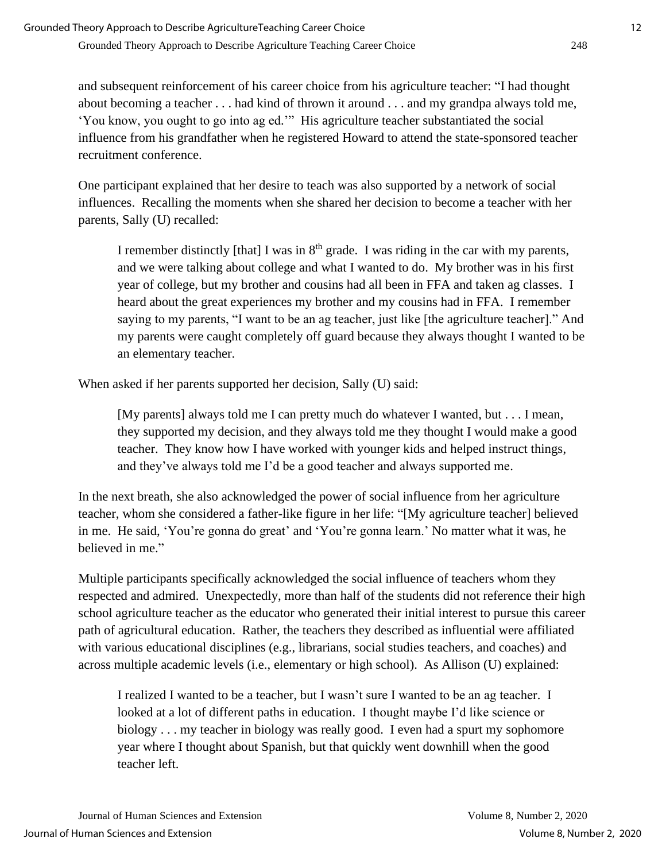and subsequent reinforcement of his career choice from his agriculture teacher: "I had thought about becoming a teacher . . . had kind of thrown it around . . . and my grandpa always told me, 'You know, you ought to go into ag ed.'" His agriculture teacher substantiated the social influence from his grandfather when he registered Howard to attend the state-sponsored teacher recruitment conference.

One participant explained that her desire to teach was also supported by a network of social influences. Recalling the moments when she shared her decision to become a teacher with her parents, Sally (U) recalled:

I remember distinctly [that] I was in  $8<sup>th</sup>$  grade. I was riding in the car with my parents, and we were talking about college and what I wanted to do. My brother was in his first year of college, but my brother and cousins had all been in FFA and taken ag classes. I heard about the great experiences my brother and my cousins had in FFA. I remember saying to my parents, "I want to be an ag teacher, just like [the agriculture teacher]." And my parents were caught completely off guard because they always thought I wanted to be an elementary teacher.

When asked if her parents supported her decision, Sally (U) said:

[My parents] always told me I can pretty much do whatever I wanted, but . . . I mean, they supported my decision, and they always told me they thought I would make a good teacher. They know how I have worked with younger kids and helped instruct things, and they've always told me I'd be a good teacher and always supported me.

In the next breath, she also acknowledged the power of social influence from her agriculture teacher, whom she considered a father-like figure in her life: "[My agriculture teacher] believed in me. He said, 'You're gonna do great' and 'You're gonna learn.' No matter what it was, he believed in me."

Multiple participants specifically acknowledged the social influence of teachers whom they respected and admired. Unexpectedly, more than half of the students did not reference their high school agriculture teacher as the educator who generated their initial interest to pursue this career path of agricultural education. Rather, the teachers they described as influential were affiliated with various educational disciplines (e.g., librarians, social studies teachers, and coaches) and across multiple academic levels (i.e., elementary or high school). As Allison (U) explained:

I realized I wanted to be a teacher, but I wasn't sure I wanted to be an ag teacher. I looked at a lot of different paths in education. I thought maybe I'd like science or biology . . . my teacher in biology was really good. I even had a spurt my sophomore year where I thought about Spanish, but that quickly went downhill when the good teacher left.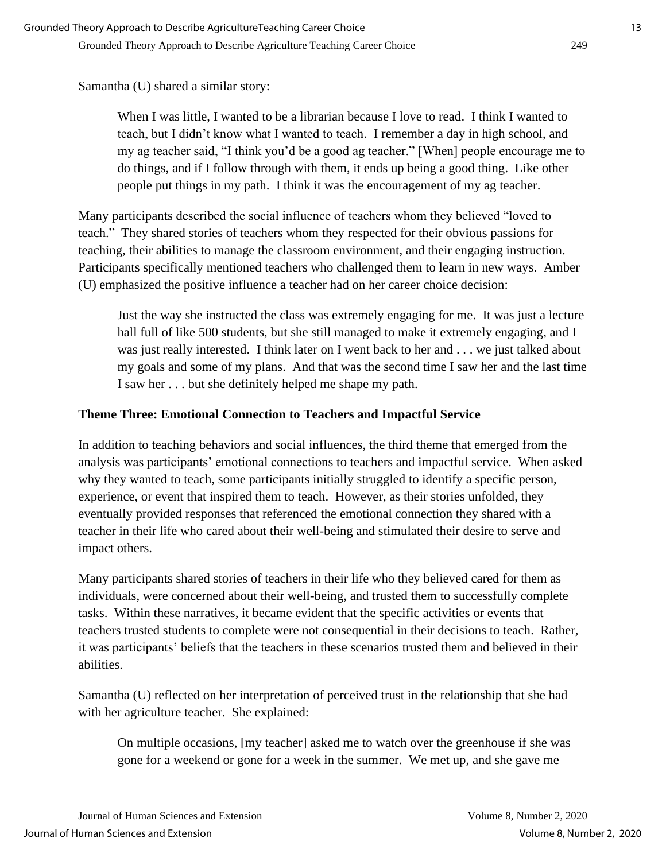Samantha (U) shared a similar story:

When I was little, I wanted to be a librarian because I love to read. I think I wanted to teach, but I didn't know what I wanted to teach. I remember a day in high school, and my ag teacher said, "I think you'd be a good ag teacher." [When] people encourage me to do things, and if I follow through with them, it ends up being a good thing. Like other people put things in my path. I think it was the encouragement of my ag teacher.

Many participants described the social influence of teachers whom they believed "loved to teach." They shared stories of teachers whom they respected for their obvious passions for teaching, their abilities to manage the classroom environment, and their engaging instruction. Participants specifically mentioned teachers who challenged them to learn in new ways. Amber (U) emphasized the positive influence a teacher had on her career choice decision:

Just the way she instructed the class was extremely engaging for me. It was just a lecture hall full of like 500 students, but she still managed to make it extremely engaging, and I was just really interested. I think later on I went back to her and . . . we just talked about my goals and some of my plans. And that was the second time I saw her and the last time I saw her . . . but she definitely helped me shape my path.

# **Theme Three: Emotional Connection to Teachers and Impactful Service**

In addition to teaching behaviors and social influences, the third theme that emerged from the analysis was participants' emotional connections to teachers and impactful service. When asked why they wanted to teach, some participants initially struggled to identify a specific person, experience, or event that inspired them to teach. However, as their stories unfolded, they eventually provided responses that referenced the emotional connection they shared with a teacher in their life who cared about their well-being and stimulated their desire to serve and impact others.

Many participants shared stories of teachers in their life who they believed cared for them as individuals, were concerned about their well-being, and trusted them to successfully complete tasks. Within these narratives, it became evident that the specific activities or events that teachers trusted students to complete were not consequential in their decisions to teach. Rather, it was participants' beliefs that the teachers in these scenarios trusted them and believed in their abilities.

Samantha (U) reflected on her interpretation of perceived trust in the relationship that she had with her agriculture teacher. She explained:

On multiple occasions, [my teacher] asked me to watch over the greenhouse if she was gone for a weekend or gone for a week in the summer. We met up, and she gave me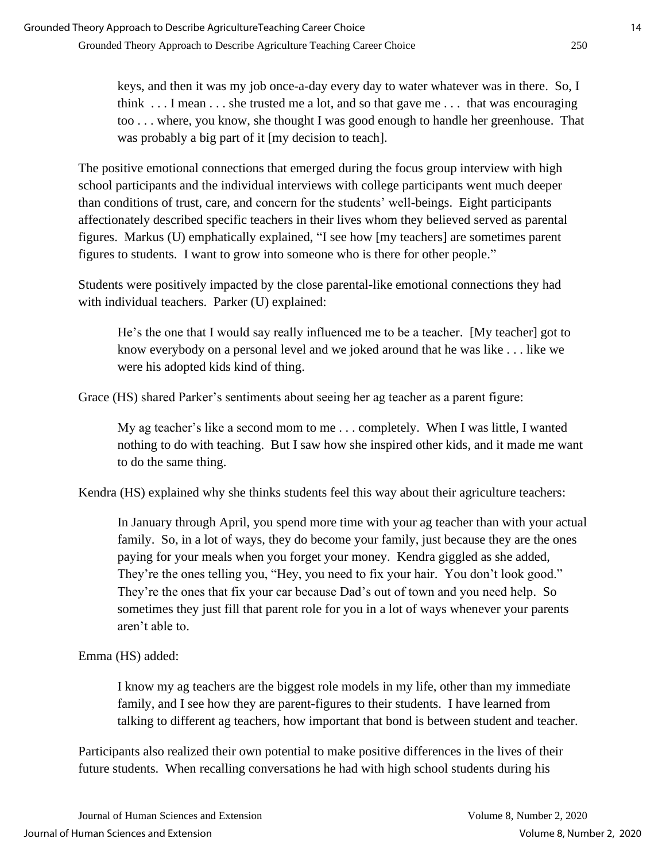keys, and then it was my job once-a-day every day to water whatever was in there. So, I think . . . I mean . . . she trusted me a lot, and so that gave me . . . that was encouraging too . . . where, you know, she thought I was good enough to handle her greenhouse. That was probably a big part of it [my decision to teach].

The positive emotional connections that emerged during the focus group interview with high school participants and the individual interviews with college participants went much deeper than conditions of trust, care, and concern for the students' well-beings. Eight participants affectionately described specific teachers in their lives whom they believed served as parental figures. Markus (U) emphatically explained, "I see how [my teachers] are sometimes parent figures to students. I want to grow into someone who is there for other people."

Students were positively impacted by the close parental-like emotional connections they had with individual teachers. Parker (U) explained:

He's the one that I would say really influenced me to be a teacher. [My teacher] got to know everybody on a personal level and we joked around that he was like . . . like we were his adopted kids kind of thing.

Grace (HS) shared Parker's sentiments about seeing her ag teacher as a parent figure:

My ag teacher's like a second mom to me . . . completely. When I was little, I wanted nothing to do with teaching. But I saw how she inspired other kids, and it made me want to do the same thing.

Kendra (HS) explained why she thinks students feel this way about their agriculture teachers:

In January through April, you spend more time with your ag teacher than with your actual family. So, in a lot of ways, they do become your family, just because they are the ones paying for your meals when you forget your money. Kendra giggled as she added, They're the ones telling you, "Hey, you need to fix your hair. You don't look good." They're the ones that fix your car because Dad's out of town and you need help. So sometimes they just fill that parent role for you in a lot of ways whenever your parents aren't able to.

Emma (HS) added:

I know my ag teachers are the biggest role models in my life, other than my immediate family, and I see how they are parent-figures to their students. I have learned from talking to different ag teachers, how important that bond is between student and teacher.

Participants also realized their own potential to make positive differences in the lives of their future students. When recalling conversations he had with high school students during his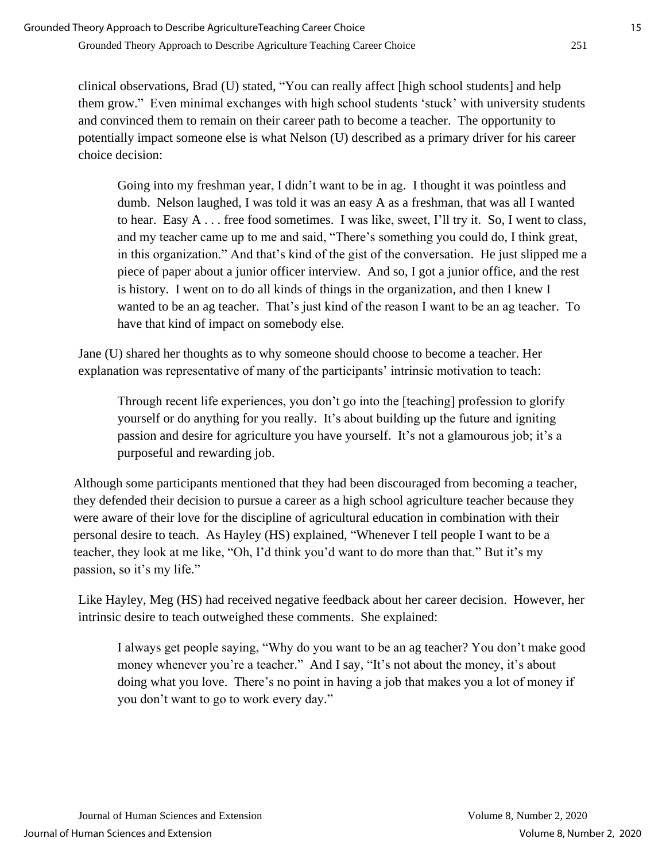clinical observations, Brad (U) stated, "You can really affect [high school students] and help them grow." Even minimal exchanges with high school students 'stuck' with university students and convinced them to remain on their career path to become a teacher. The opportunity to potentially impact someone else is what Nelson (U) described as a primary driver for his career choice decision:

Going into my freshman year, I didn't want to be in ag. I thought it was pointless and dumb. Nelson laughed, I was told it was an easy A as a freshman, that was all I wanted to hear. Easy A . . . free food sometimes. I was like, sweet, I'll try it. So, I went to class, and my teacher came up to me and said, "There's something you could do, I think great, in this organization." And that's kind of the gist of the conversation. He just slipped me a piece of paper about a junior officer interview. And so, I got a junior office, and the rest is history. I went on to do all kinds of things in the organization, and then I knew I wanted to be an ag teacher. That's just kind of the reason I want to be an ag teacher. To have that kind of impact on somebody else.

Jane (U) shared her thoughts as to why someone should choose to become a teacher. Her explanation was representative of many of the participants' intrinsic motivation to teach:

Through recent life experiences, you don't go into the [teaching] profession to glorify yourself or do anything for you really. It's about building up the future and igniting passion and desire for agriculture you have yourself. It's not a glamourous job; it's a purposeful and rewarding job.

Although some participants mentioned that they had been discouraged from becoming a teacher, they defended their decision to pursue a career as a high school agriculture teacher because they were aware of their love for the discipline of agricultural education in combination with their personal desire to teach. As Hayley (HS) explained, "Whenever I tell people I want to be a teacher, they look at me like, "Oh, I'd think you'd want to do more than that." But it's my passion, so it's my life."

Like Hayley, Meg (HS) had received negative feedback about her career decision. However, her intrinsic desire to teach outweighed these comments. She explained:

I always get people saying, "Why do you want to be an ag teacher? You don't make good money whenever you're a teacher." And I say, "It's not about the money, it's about doing what you love. There's no point in having a job that makes you a lot of money if you don't want to go to work every day."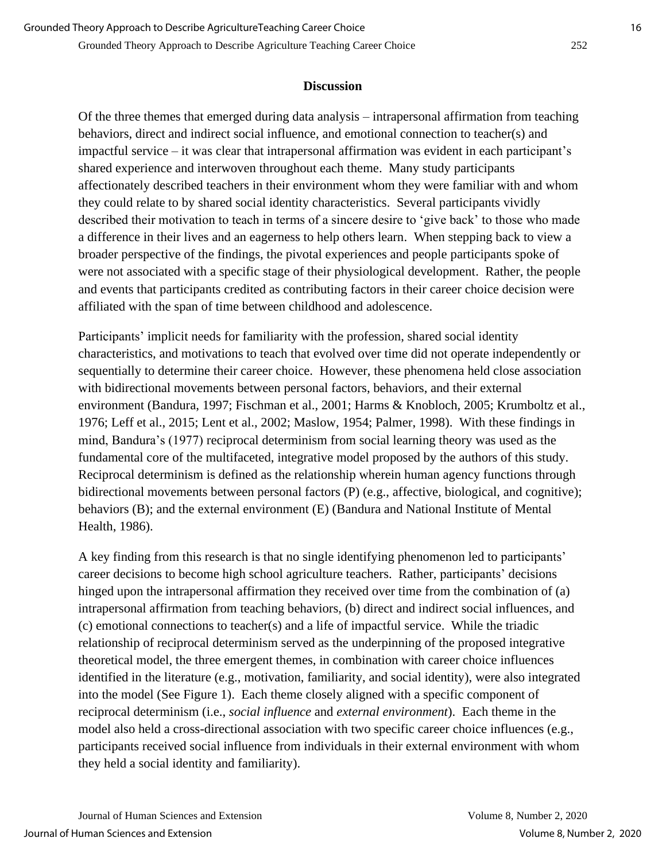#### **Discussion**

Of the three themes that emerged during data analysis – intrapersonal affirmation from teaching behaviors, direct and indirect social influence, and emotional connection to teacher(s) and impactful service – it was clear that intrapersonal affirmation was evident in each participant's shared experience and interwoven throughout each theme. Many study participants affectionately described teachers in their environment whom they were familiar with and whom they could relate to by shared social identity characteristics. Several participants vividly described their motivation to teach in terms of a sincere desire to 'give back' to those who made a difference in their lives and an eagerness to help others learn. When stepping back to view a broader perspective of the findings, the pivotal experiences and people participants spoke of were not associated with a specific stage of their physiological development. Rather, the people and events that participants credited as contributing factors in their career choice decision were affiliated with the span of time between childhood and adolescence.

Participants' implicit needs for familiarity with the profession, shared social identity characteristics, and motivations to teach that evolved over time did not operate independently or sequentially to determine their career choice. However, these phenomena held close association with bidirectional movements between personal factors, behaviors, and their external environment (Bandura, 1997; Fischman et al., 2001; Harms & Knobloch, 2005; Krumboltz et al., 1976; Leff et al., 2015; Lent et al., 2002; Maslow, 1954; Palmer, 1998). With these findings in mind, Bandura's (1977) reciprocal determinism from social learning theory was used as the fundamental core of the multifaceted, integrative model proposed by the authors of this study. Reciprocal determinism is defined as the relationship wherein human agency functions through bidirectional movements between personal factors (P) (e.g., affective, biological, and cognitive); behaviors (B); and the external environment (E) (Bandura and National Institute of Mental Health, 1986).

A key finding from this research is that no single identifying phenomenon led to participants' career decisions to become high school agriculture teachers. Rather, participants' decisions hinged upon the intrapersonal affirmation they received over time from the combination of (a) intrapersonal affirmation from teaching behaviors, (b) direct and indirect social influences, and (c) emotional connections to teacher(s) and a life of impactful service. While the triadic relationship of reciprocal determinism served as the underpinning of the proposed integrative theoretical model, the three emergent themes, in combination with career choice influences identified in the literature (e.g., motivation, familiarity, and social identity), were also integrated into the model (See Figure 1). Each theme closely aligned with a specific component of reciprocal determinism (i.e., *social influence* and *external environment*). Each theme in the model also held a cross-directional association with two specific career choice influences (e.g., participants received social influence from individuals in their external environment with whom they held a social identity and familiarity).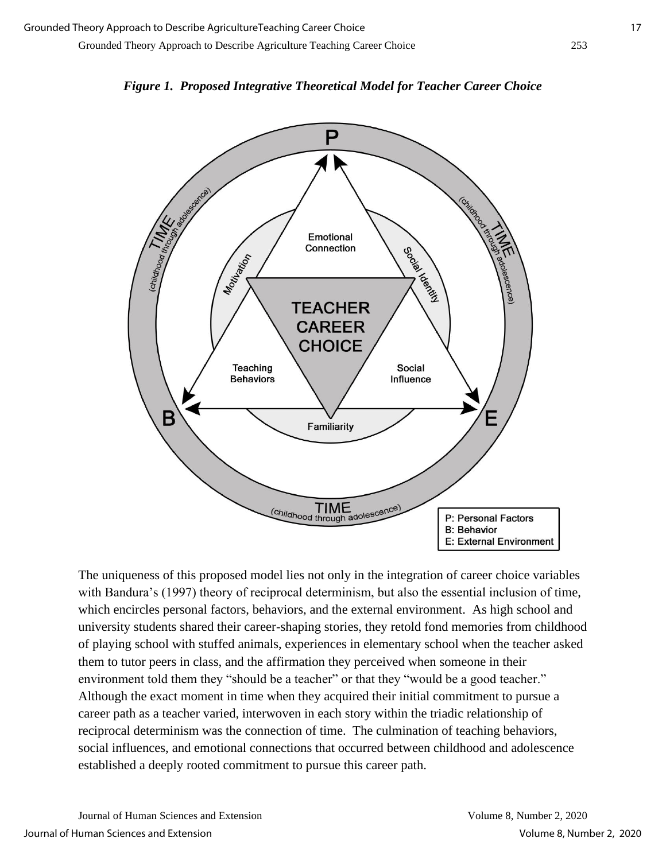



The uniqueness of this proposed model lies not only in the integration of career choice variables with Bandura's (1997) theory of reciprocal determinism, but also the essential inclusion of time, which encircles personal factors, behaviors, and the external environment. As high school and university students shared their career-shaping stories, they retold fond memories from childhood of playing school with stuffed animals, experiences in elementary school when the teacher asked them to tutor peers in class, and the affirmation they perceived when someone in their environment told them they "should be a teacher" or that they "would be a good teacher." Although the exact moment in time when they acquired their initial commitment to pursue a career path as a teacher varied, interwoven in each story within the triadic relationship of reciprocal determinism was the connection of time. The culmination of teaching behaviors, social influences, and emotional connections that occurred between childhood and adolescence established a deeply rooted commitment to pursue this career path.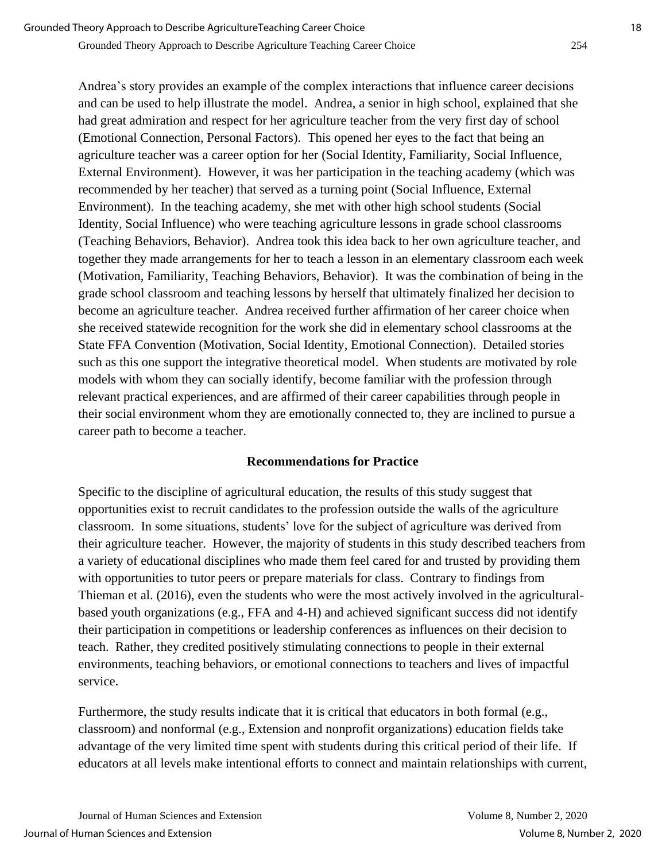Andrea's story provides an example of the complex interactions that influence career decisions and can be used to help illustrate the model. Andrea, a senior in high school, explained that she had great admiration and respect for her agriculture teacher from the very first day of school (Emotional Connection, Personal Factors). This opened her eyes to the fact that being an agriculture teacher was a career option for her (Social Identity, Familiarity, Social Influence, External Environment). However, it was her participation in the teaching academy (which was recommended by her teacher) that served as a turning point (Social Influence, External Environment). In the teaching academy, she met with other high school students (Social Identity, Social Influence) who were teaching agriculture lessons in grade school classrooms (Teaching Behaviors, Behavior). Andrea took this idea back to her own agriculture teacher, and together they made arrangements for her to teach a lesson in an elementary classroom each week (Motivation, Familiarity, Teaching Behaviors, Behavior). It was the combination of being in the grade school classroom and teaching lessons by herself that ultimately finalized her decision to become an agriculture teacher. Andrea received further affirmation of her career choice when she received statewide recognition for the work she did in elementary school classrooms at the State FFA Convention (Motivation, Social Identity, Emotional Connection). Detailed stories such as this one support the integrative theoretical model. When students are motivated by role models with whom they can socially identify, become familiar with the profession through relevant practical experiences, and are affirmed of their career capabilities through people in their social environment whom they are emotionally connected to, they are inclined to pursue a career path to become a teacher.

### **Recommendations for Practice**

Specific to the discipline of agricultural education, the results of this study suggest that opportunities exist to recruit candidates to the profession outside the walls of the agriculture classroom. In some situations, students' love for the subject of agriculture was derived from their agriculture teacher. However, the majority of students in this study described teachers from a variety of educational disciplines who made them feel cared for and trusted by providing them with opportunities to tutor peers or prepare materials for class. Contrary to findings from Thieman et al. (2016), even the students who were the most actively involved in the agriculturalbased youth organizations (e.g., FFA and 4-H) and achieved significant success did not identify their participation in competitions or leadership conferences as influences on their decision to teach. Rather, they credited positively stimulating connections to people in their external environments, teaching behaviors, or emotional connections to teachers and lives of impactful service.

Furthermore, the study results indicate that it is critical that educators in both formal (e.g., classroom) and nonformal (e.g., Extension and nonprofit organizations) education fields take advantage of the very limited time spent with students during this critical period of their life. If educators at all levels make intentional efforts to connect and maintain relationships with current,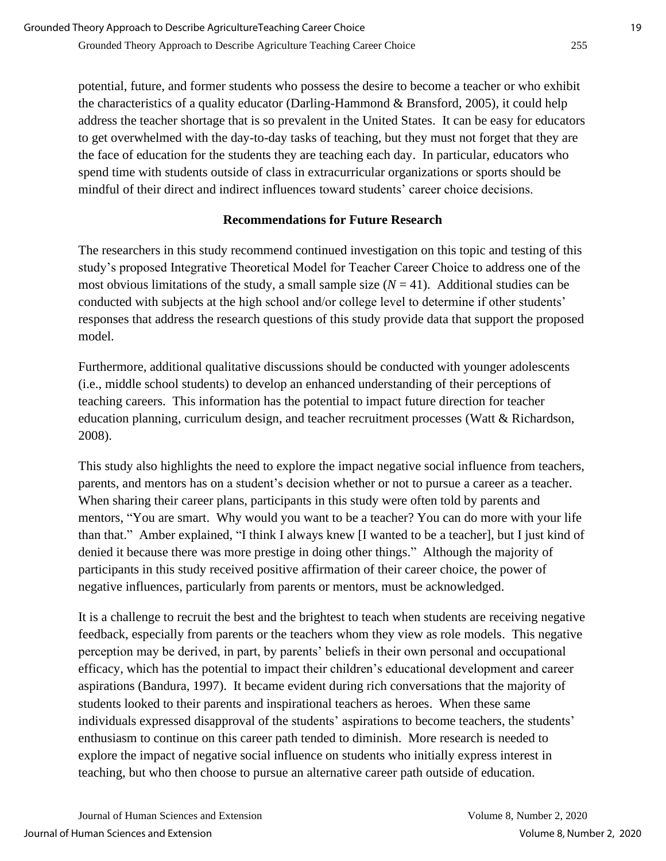potential, future, and former students who possess the desire to become a teacher or who exhibit the characteristics of a quality educator (Darling-Hammond  $\&$  Bransford, 2005), it could help address the teacher shortage that is so prevalent in the United States. It can be easy for educators to get overwhelmed with the day-to-day tasks of teaching, but they must not forget that they are the face of education for the students they are teaching each day. In particular, educators who spend time with students outside of class in extracurricular organizations or sports should be mindful of their direct and indirect influences toward students' career choice decisions.

### **Recommendations for Future Research**

The researchers in this study recommend continued investigation on this topic and testing of this study's proposed Integrative Theoretical Model for Teacher Career Choice to address one of the most obvious limitations of the study, a small sample size  $(N = 41)$ . Additional studies can be conducted with subjects at the high school and/or college level to determine if other students' responses that address the research questions of this study provide data that support the proposed model.

Furthermore, additional qualitative discussions should be conducted with younger adolescents (i.e., middle school students) to develop an enhanced understanding of their perceptions of teaching careers. This information has the potential to impact future direction for teacher education planning, curriculum design, and teacher recruitment processes (Watt & Richardson, 2008).

This study also highlights the need to explore the impact negative social influence from teachers, parents, and mentors has on a student's decision whether or not to pursue a career as a teacher. When sharing their career plans, participants in this study were often told by parents and mentors, "You are smart. Why would you want to be a teacher? You can do more with your life than that." Amber explained, "I think I always knew [I wanted to be a teacher], but I just kind of denied it because there was more prestige in doing other things." Although the majority of participants in this study received positive affirmation of their career choice, the power of negative influences, particularly from parents or mentors, must be acknowledged.

It is a challenge to recruit the best and the brightest to teach when students are receiving negative feedback, especially from parents or the teachers whom they view as role models. This negative perception may be derived, in part, by parents' beliefs in their own personal and occupational efficacy, which has the potential to impact their children's educational development and career aspirations (Bandura, 1997). It became evident during rich conversations that the majority of students looked to their parents and inspirational teachers as heroes. When these same individuals expressed disapproval of the students' aspirations to become teachers, the students' enthusiasm to continue on this career path tended to diminish. More research is needed to explore the impact of negative social influence on students who initially express interest in teaching, but who then choose to pursue an alternative career path outside of education.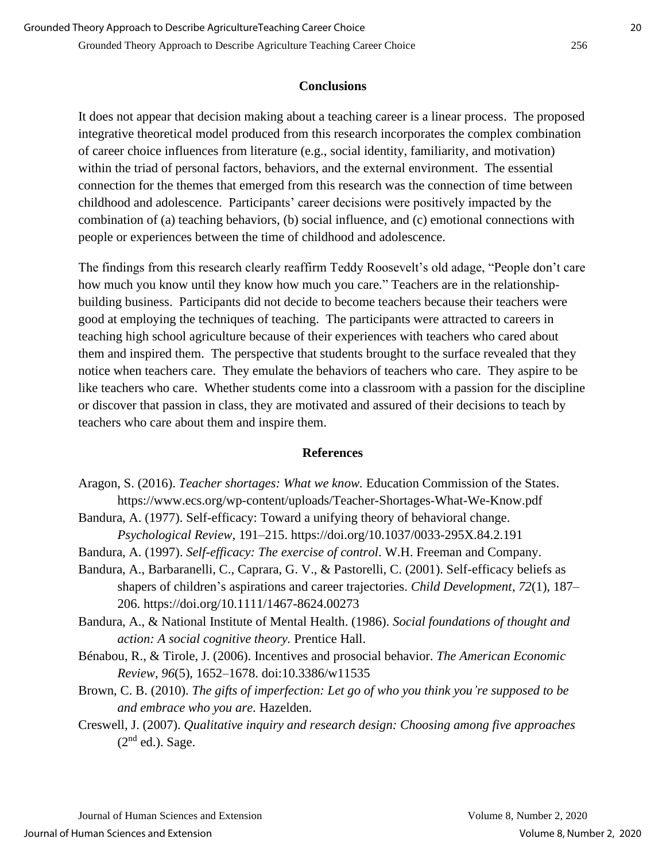#### **Conclusions**

It does not appear that decision making about a teaching career is a linear process. The proposed integrative theoretical model produced from this research incorporates the complex combination of career choice influences from literature (e.g., social identity, familiarity, and motivation) within the triad of personal factors, behaviors, and the external environment. The essential connection for the themes that emerged from this research was the connection of time between childhood and adolescence. Participants' career decisions were positively impacted by the combination of (a) teaching behaviors, (b) social influence, and (c) emotional connections with people or experiences between the time of childhood and adolescence.

The findings from this research clearly reaffirm Teddy Roosevelt's old adage, "People don't care how much you know until they know how much you care." Teachers are in the relationshipbuilding business. Participants did not decide to become teachers because their teachers were good at employing the techniques of teaching. The participants were attracted to careers in teaching high school agriculture because of their experiences with teachers who cared about them and inspired them. The perspective that students brought to the surface revealed that they notice when teachers care. They emulate the behaviors of teachers who care. They aspire to be like teachers who care. Whether students come into a classroom with a passion for the discipline or discover that passion in class, they are motivated and assured of their decisions to teach by teachers who care about them and inspire them.

#### **References**

- Aragon, S. (2016). *Teacher shortages: What we know.* Education Commission of the States. [https://www.ecs.org/wp-content/uploads/Teacher-Shortages-What-We-Know.pdf](about:blank)
- Bandura, A. (1977). Self-efficacy: Toward a unifying theory of behavioral change. *Psychological Review*, 191–215. https://doi.org/10.1037/0033-295X.84.2.191
- Bandura, A. (1997). *Self-efficacy: The exercise of control*. W.H. Freeman and Company.
- Bandura, A., Barbaranelli, C., Caprara, G. V., & Pastorelli, C. (2001). Self-efficacy beliefs as shapers of children's aspirations and career trajectories. *Child Development*, *72*(1), 187– 206. https://doi.org/10.1111/1467-8624.00273
- Bandura, A., & National Institute of Mental Health. (1986). *Social foundations of thought and action: A social cognitive theory.* Prentice Hall.
- Bénabou, R., & Tirole, J. (2006). Incentives and prosocial behavior. *The American Economic Review*, *96*(5), 1652–1678. doi:10.3386/w11535
- Brown, C. B. (2010). *The gifts of imperfection: Let go of who you think you're supposed to be and embrace who you are.* Hazelden.
- Creswell, J. (2007). *Qualitative inquiry and research design: Choosing among five approaches*   $(2<sup>nd</sup>$  ed.). Sage.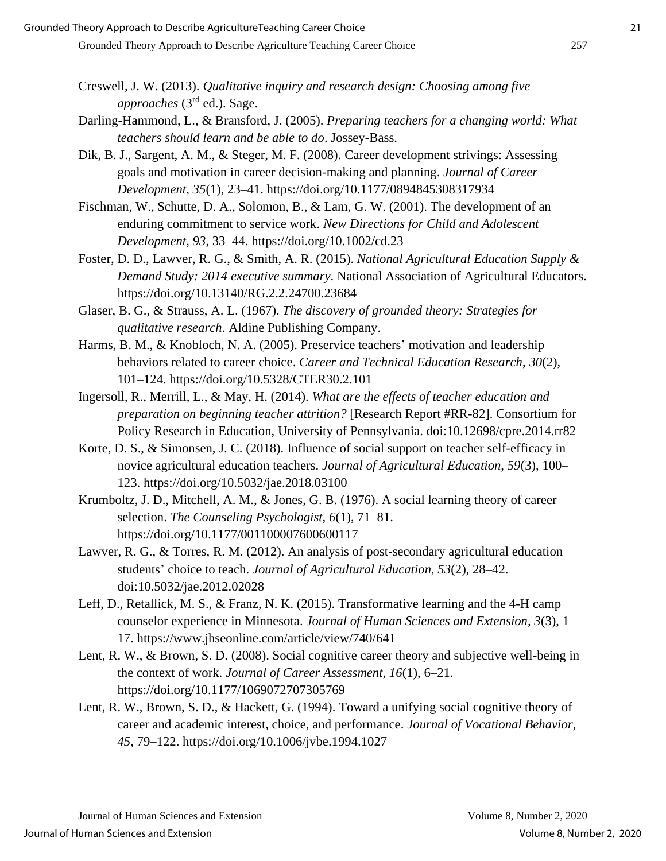- Creswell, J. W. (2013). *Qualitative inquiry and research design: Choosing among five approaches* (3rd ed.). Sage.
- Darling-Hammond, L., & Bransford, J. (2005). *Preparing teachers for a changing world: What teachers should learn and be able to do*. Jossey-Bass.
- Dik, B. J., Sargent, A. M., & Steger, M. F. (2008). Career development strivings: Assessing goals and motivation in career decision-making and planning. *Journal of Career Development*, *35*(1), 23–41. https://doi.org/10.1177/0894845308317934
- Fischman, W., Schutte, D. A., Solomon, B., & Lam, G. W. (2001). The development of an enduring commitment to service work. *New Directions for Child and Adolescent Development*, *93*, 33–44. https://doi.org/10.1002/cd.23
- Foster, D. D., Lawver, R. G., & Smith, A. R. (2015). *National Agricultural Education Supply & Demand Study: 2014 executive summary*. National Association of Agricultural Educators. https://doi.org/10.13140/RG.2.2.24700.23684
- Glaser, B. G., & Strauss, A. L. (1967). *The discovery of grounded theory: Strategies for qualitative research*. Aldine Publishing Company.
- Harms, B. M., & Knobloch, N. A. (2005). Preservice teachers' motivation and leadership behaviors related to career choice. *Career and Technical Education Research*, *30*(2), 101–124. https://doi.org/10.5328/CTER30.2.101
- Ingersoll, R., Merrill, L., & May, H. (2014). *What are the effects of teacher education and preparation on beginning teacher attrition?* [Research Report #RR-82]. Consortium for Policy Research in Education, University of Pennsylvania. doi:10.12698/cpre.2014.rr82
- Korte, D. S., & Simonsen, J. C. (2018). Influence of social support on teacher self-efficacy in novice agricultural education teachers. *Journal of Agricultural Education, 59*(3), 100– 123. https://doi.org/10.5032/jae.2018.03100
- Krumboltz, J. D., Mitchell, A. M., & Jones, G. B. (1976). A social learning theory of career selection. *The Counseling Psychologist, 6*(1), 71–81. https://doi.org/10.1177/001100007600600117
- Lawver, R. G., & Torres, R. M. (2012). An analysis of post-secondary agricultural education students' choice to teach. *Journal of Agricultural Education, 53*(2), 28–42. doi:10.5032/jae.2012.02028
- Leff, D., Retallick, M. S., & Franz, N. K. (2015). Transformative learning and the 4-H camp counselor experience in Minnesota. *Journal of Human Sciences and Extension, 3*(3), 1– 17. https://www.jhseonline.com/article/view/740/641
- Lent, R. W., & Brown, S. D. (2008). Social cognitive career theory and subjective well-being in the context of work. *Journal of Career Assessment, 16*(1), 6–21. https://doi.org/10.1177/1069072707305769
- Lent, R. W., Brown, S. D., & Hackett, G. (1994). Toward a unifying social cognitive theory of career and academic interest, choice, and performance. *Journal of Vocational Behavior, 45,* 79–122. https://doi.org/10.1006/jvbe.1994.1027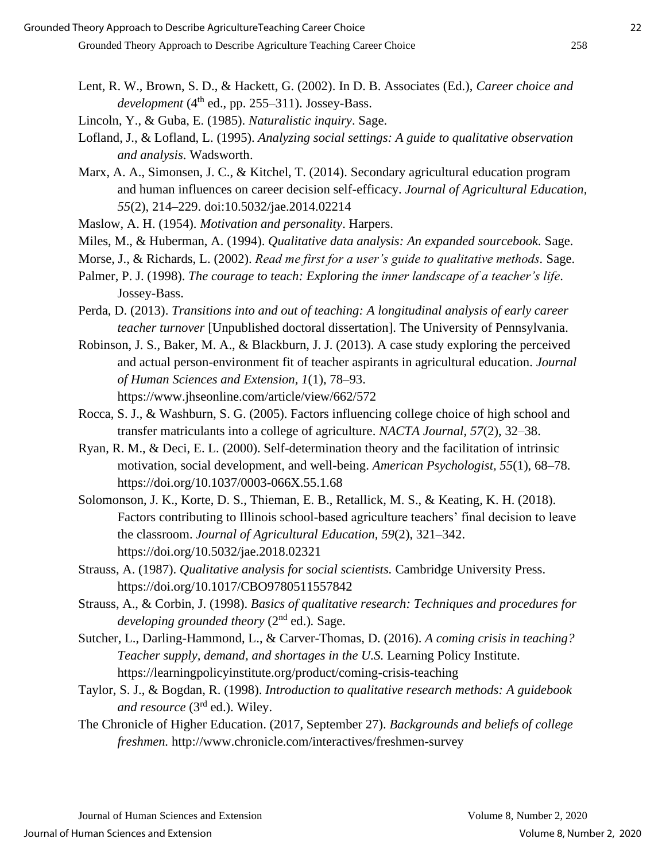- Lent, R. W., Brown, S. D., & Hackett, G. (2002). In D. B. Associates (Ed.), *Career choice and*   $development(4<sup>th</sup> ed., pp. 255–311). Jossey-Bass.$
- Lincoln, Y., & Guba, E. (1985). *Naturalistic inquiry*. Sage.
- Lofland, J., & Lofland, L. (1995). *Analyzing social settings: A guide to qualitative observation and analysis*. Wadsworth.
- Marx, A. A., Simonsen, J. C., & Kitchel, T. (2014). Secondary agricultural education program and human influences on career decision self-efficacy. *Journal of Agricultural Education, 55*(2), 214–229. doi:10.5032/jae.2014.02214
- Maslow, A. H. (1954). *Motivation and personality*. Harpers.
- Miles, M., & Huberman, A. (1994). *Qualitative data analysis: An expanded sourcebook.* Sage.
- Morse, J., & Richards, L. (2002). *Read me first for a user's guide to qualitative methods.* Sage.
- Palmer, P. J. (1998). *The courage to teach: Exploring the inner landscape of a teacher's life*. Jossey-Bass.
- Perda, D. (2013). *Transitions into and out of teaching: A longitudinal analysis of early career teacher turnover* [Unpublished doctoral dissertation]. The University of Pennsylvania.
- Robinson, J. S., Baker, M. A., & Blackburn, J. J. (2013). A case study exploring the perceived and actual person-environment fit of teacher aspirants in agricultural education. *Journal of Human Sciences and Extension, 1*(1), 78–93. https://www.jhseonline.com/article/view/662/572
- Rocca, S. J., & Washburn, S. G. (2005). Factors influencing college choice of high school and transfer matriculants into a college of agriculture. *NACTA Journal*, *57*(2), 32–38.
- Ryan, R. M., & Deci, E. L. (2000). Self-determination theory and the facilitation of intrinsic motivation, social development, and well-being. *American Psychologist, 55*(1), 68–78. https://doi.org/10.1037/0003-066X.55.1.68
- Solomonson, J. K., Korte, D. S., Thieman, E. B., Retallick, M. S., & Keating, K. H. (2018). Factors contributing to Illinois school-based agriculture teachers' final decision to leave the classroom. *Journal of Agricultural Education, 59*(2), 321–342. https://doi.org/10.5032/jae.2018.02321
- Strauss, A. (1987). *Qualitative analysis for social scientists.* Cambridge University Press. https://doi.org/10.1017/CBO9780511557842
- Strauss, A., & Corbin, J. (1998). *Basics of qualitative research: Techniques and procedures for developing grounded theory* (2nd ed.)*.* Sage.
- Sutcher, L., Darling-Hammond, L., & Carver-Thomas, D. (2016). *A coming crisis in teaching? Teacher supply, demand, and shortages in the U.S.* Learning Policy Institute. https://learningpolicyinstitute.org/product/coming-crisis-teaching
- Taylor, S. J., & Bogdan, R. (1998). *Introduction to qualitative research methods: A guidebook and resource* (3rd ed.). Wiley.
- The Chronicle of Higher Education. (2017, September 27). *Backgrounds and beliefs of college freshmen.* http://www.chronicle.com/interactives/freshmen-survey